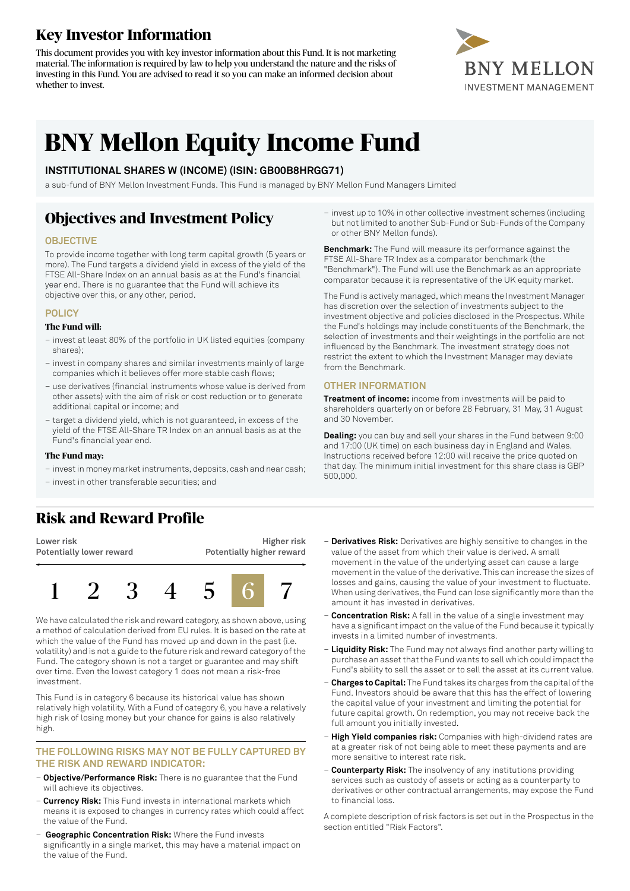### **Key Investor Information**

This document provides you with key investor information about this Fund. It is not marketing material. The information is required by law to help you understand the nature and the risks of investing in this Fund. You are advised to read it so you can make an informed decision about whether to invest.



# **BNY Mellon Equity Income Fund**

#### **INSTITUTIONAL SHARES W (INCOME) (ISIN: GB00B8HRGG71)**

a sub-fund of BNY Mellon Investment Funds. This Fund is managed by BNY Mellon Fund Managers Limited

### **Objectives and Investment Policy**

#### **OBJECTIVE**

To provide income together with long term capital growth (5 years or more). The Fund targets a dividend yield in excess of the yield of the FTSE All-Share Index on an annual basis as at the Fund's financial year end. There is no guarantee that the Fund will achieve its objective over this, or any other, period.

#### **POLICY**

#### **The Fund will:**

- invest at least 80% of the portfolio in UK listed equities (company shares);
- invest in company shares and similar investments mainly of large companies which it believes offer more stable cash flows;
- use derivatives (financial instruments whose value is derived from other assets) with the aim of risk or cost reduction or to generate additional capital or income; and
- target a dividend yield, which is not guaranteed, in excess of the yield of the FTSE All-Share TR Index on an annual basis as at the Fund's financial year end.

#### **The Fund may:**

- investin money marketinstruments, deposits, cash and near cash;
- invest in other transferable securities; and

– invest up to 10% in other collective investment schemes (including but not limited to another Sub-Fund or Sub-Funds of the Company or other BNY Mellon funds).

**Benchmark:** The Fund will measure its performance against the FTSE All-Share TR Index as a comparator benchmark (the "Benchmark"). The Fund will use the Benchmark as an appropriate comparator because it is representative of the UK equity market.

The Fund is actively managed, which means the Investment Manager has discretion over the selection of investments subject to the investment objective and policies disclosed in the Prospectus. While the Fund's holdings may include constituents of the Benchmark, the selection of investments and their weightings in the portfolio are not influenced by the Benchmark. The investment strategy does not restrict the extent to which the Investment Manager may deviate from the Benchmark.

#### **OTHER INFORMATION**

**Treatment of income:** income from investments will be paid to shareholders quarterly on or before 28 February, 31 May, 31 August and 30 November.

**Dealing:** you can buy and sell your shares in the Fund between 9:00 and 17:00 (UK time) on each business day in England and Wales. Instructions received before 12:00 will receive the price quoted on that day. The minimum initial investment for this share class is GBP 500,000.

## **Risk and Reward Profile**

**Lower risk Potentially lower reward**





We have calculated the risk and reward category, as shown above, using a method of calculation derived from EU rules. It is based on the rate at which the value of the Fund has moved up and down in the past (i.e. volatility) and is not a guide to the future risk and reward category ofthe Fund. The category shown is not a target or guarantee and may shift over time. Even the lowest category 1 does not mean a risk-free investment.

This Fund is in category 6 because its historical value has shown relatively high volatility. With a Fund of category 6, you have a relatively high risk of losing money but your chance for gains is also relatively high.

#### **THE FOLLOWING RISKS MAY NOT BE FULLY CAPTURED BY THE RISK AND REWARD INDICATOR:**

- **Objective/Performance Risk:** There is no guarantee that the Fund will achieve its objectives.
- **Currency Risk:** This Fund invests in international markets which means it is exposed to changes in currency rates which could affect the value of the Fund.
- **Geographic Concentration Risk:** Where the Fund invests significantly in a single market, this may have a material impact on the value of the Fund.
- **Derivatives Risk:** Derivatives are highly sensitive to changes in the value of the asset from which their value is derived. A small movement in the value of the underlying asset can cause a large movement in the value of the derivative. This can increase the sizes of losses and gains, causing the value of your investment to fluctuate. When using derivatives, the Fund can lose significantly more than the amount it has invested in derivatives.
- **Concentration Risk:** A fall in the value of a single investment may have a significant impact on the value of the Fund because it typically invests in a limited number of investments.
- **Liquidity Risk:** The Fund may not always find another party willing to purchase an asset that the Fund wants to sell which could impact the Fund's ability to sell the asset or to sell the asset at its current value.
- **Charges to Capital:** The Fund takes its charges from the capital ofthe Fund. Investors should be aware that this has the effect of lowering the capital value of your investment and limiting the potential for future capital growth. On redemption, you may not receive back the full amount you initially invested.
- **High Yield companies risk:** Companies with high-dividend rates are at a greater risk of not being able to meet these payments and are more sensitive to interest rate risk.
- **Counterparty Risk:** The insolvency of any institutions providing services such as custody of assets or acting as a counterparty to derivatives or other contractual arrangements, may expose the Fund to financial loss.

A complete description of risk factors is set out in the Prospectus in the section entitled "Risk Factors".